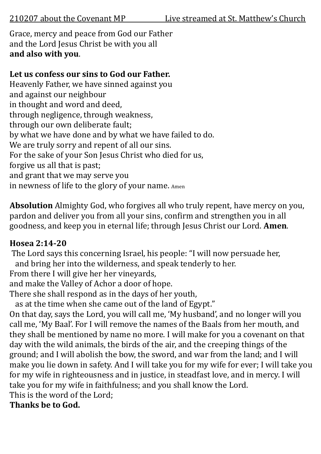Grace, mercy and peace from God our Father and the Lord Jesus Christ be with you all **and also with you**.

### **Let us confess our sins to God our Father.**

Heavenly Father, we have sinned against you and against our neighbour in thought and word and deed, through negligence, through weakness, through our own deliberate fault; by what we have done and by what we have failed to do. We are truly sorry and repent of all our sins. For the sake of your Son Jesus Christ who died for us, forgive us all that is past; and grant that we may serve you in newness of life to the glory of your name. Amen

**Absolution** Almighty God, who forgives all who truly repent, have mercy on you, pardon and deliver you from all your sins, confirm and strengthen you in all goodness, and keep you in eternal life; through Jesus Christ our Lord. **Amen**.

## **Hosea 2:14-20**

The Lord says this concerning Israel, his people: "I will now persuade her, and bring her into the wilderness, and speak tenderly to her.

From there I will give her her vineyards,

and make the Valley of Achor a door of hope.

There she shall respond as in the days of her youth,

as at the time when she came out of the land of Egypt."

On that day, says the Lord, you will call me, 'My husband', and no longer will you call me, 'My Baal'. For I will remove the names of the Baals from her mouth, and they shall be mentioned by name no more. I will make for you a covenant on that day with the wild animals, the birds of the air, and the creeping things of the ground; and I will abolish the bow, the sword, and war from the land; and I will make you lie down in safety. And I will take you for my wife for ever; I will take you for my wife in righteousness and in justice, in steadfast love, and in mercy. I will take you for my wife in faithfulness; and you shall know the Lord. This is the word of the Lord;

## **Thanks be to God.**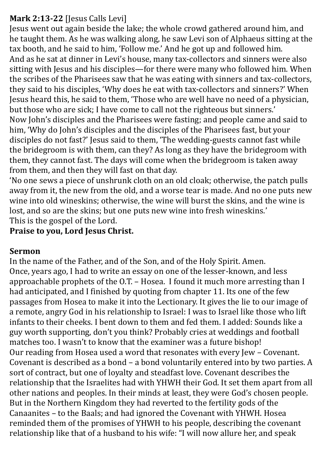# **Mark 2:13-22** [Jesus Calls Levi]

Jesus went out again beside the lake; the whole crowd gathered around him, and he taught them. As he was walking along, he saw Levi son of Alphaeus sitting at the tax booth, and he said to him, 'Follow me.' And he got up and followed him. And as he sat at dinner in Levi's house, many tax-collectors and sinners were also sitting with Jesus and his disciples—for there were many who followed him. When the scribes of the Pharisees saw that he was eating with sinners and tax-collectors, they said to his disciples, 'Why does he eat with tax-collectors and sinners?' When Jesus heard this, he said to them, 'Those who are well have no need of a physician, but those who are sick; I have come to call not the righteous but sinners.' Now John's disciples and the Pharisees were fasting; and people came and said to him, 'Why do John's disciples and the disciples of the Pharisees fast, but your disciples do not fast?' Jesus said to them, 'The wedding-guests cannot fast while the bridegroom is with them, can they? As long as they have the bridegroom with them, they cannot fast. The days will come when the bridegroom is taken away from them, and then they will fast on that day.

'No one sews a piece of unshrunk cloth on an old cloak; otherwise, the patch pulls away from it, the new from the old, and a worse tear is made. And no one puts new wine into old wineskins; otherwise, the wine will burst the skins, and the wine is lost, and so are the skins; but one puts new wine into fresh wineskins.' This is the gospel of the Lord.

**Praise to you, Lord Jesus Christ.**

## **Sermon**

In the name of the Father, and of the Son, and of the Holy Spirit. Amen. Once, years ago, I had to write an essay on one of the lesser-known, and less approachable prophets of the O.T. – Hosea. I found it much more arresting than I had anticipated, and I finished by quoting from chapter 11. Its one of the few passages from Hosea to make it into the Lectionary. It gives the lie to our image of a remote, angry God in his relationship to Israel: I was to Israel like those who lift infants to their cheeks. I bent down to them and fed them. I added: Sounds like a guy worth supporting, don't you think? Probably cries at weddings and football matches too. I wasn't to know that the examiner was a future bishop! Our reading from Hosea used a word that resonates with every Jew – Covenant. Covenant is described as a bond – a bond voluntarily entered into by two parties. A sort of contract, but one of loyalty and steadfast love. Covenant describes the relationship that the Israelites had with YHWH their God. It set them apart from all other nations and peoples. In their minds at least, they were God's chosen people. But in the Northern Kingdom they had reverted to the fertility gods of the Canaanites – to the Baals; and had ignored the Covenant with YHWH. Hosea reminded them of the promises of YHWH to his people, describing the covenant relationship like that of a husband to his wife: "I will now allure her, and speak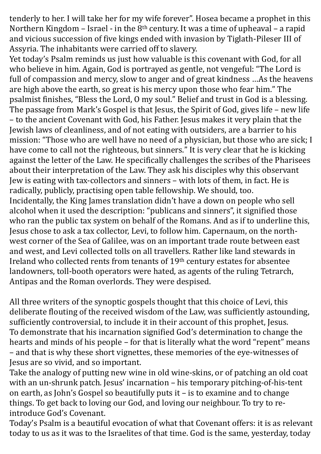tenderly to her. I will take her for my wife forever". Hosea became a prophet in this Northern Kingdom - Israel - in the 8<sup>th</sup> century. It was a time of upheaval - a rapid and vicious succession of five kings ended with invasion by Tiglath-Pileser III of Assyria. The inhabitants were carried off to slavery.

Yet today's Psalm reminds us just how valuable is this covenant with God, for all who believe in him. Again, God is portrayed as gentle, not vengeful: "The Lord is full of compassion and mercy, slow to anger and of great kindness …As the heavens are high above the earth, so great is his mercy upon those who fear him." The psalmist finishes, "Bless the Lord, O my soul." Belief and trust in God is a blessing. The passage from Mark's Gospel is that Jesus, the Spirit of God, gives life – new life – to the ancient Covenant with God, his Father. Jesus makes it very plain that the Jewish laws of cleanliness, and of not eating with outsiders, are a barrier to his mission: "Those who are well have no need of a physician, but those who are sick; I have come to call not the righteous, but sinners." It is very clear that he is kicking against the letter of the Law. He specifically challenges the scribes of the Pharisees about their interpretation of the Law. They ask his disciples why this observant Jew is eating with tax-collectors and sinners – with lots of them, in fact. He is radically, publicly, practising open table fellowship. We should, too. Incidentally, the King James translation didn't have a down on people who sell alcohol when it used the description: "publicans and sinners", it signified those who ran the public tax system on behalf of the Romans. And as if to underline this, Jesus chose to ask a tax collector, Levi, to follow him. Capernaum, on the northwest corner of the Sea of Galilee, was on an important trade route between east and west, and Levi collected tolls on all travellers. Rather like land stewards in Ireland who collected rents from tenants of 19th century estates for absentee landowners, toll-booth operators were hated, as agents of the ruling Tetrarch, Antipas and the Roman overlords. They were despised.

All three writers of the synoptic gospels thought that this choice of Levi, this deliberate flouting of the received wisdom of the Law, was sufficiently astounding, sufficiently controversial, to include it in their account of this prophet, Jesus. To demonstrate that his incarnation signified God's determination to change the hearts and minds of his people – for that is literally what the word "repent" means – and that is why these short vignettes, these memories of the eye-witnesses of Jesus are so vivid, and so important.

Take the analogy of putting new wine in old wine-skins, or of patching an old coat with an un-shrunk patch. Jesus' incarnation – his temporary pitching-of-his-tent on earth, as John's Gospel so beautifully puts it – is to examine and to change things. To get back to loving our God, and loving our neighbour. To try to reintroduce God's Covenant.

Today's Psalm is a beautiful evocation of what that Covenant offers: it is as relevant today to us as it was to the Israelites of that time. God is the same, yesterday, today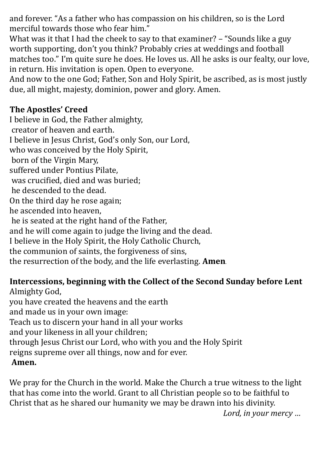and forever. "As a father who has compassion on his children, so is the Lord merciful towards those who fear him."

What was it that I had the cheek to say to that examiner? – "Sounds like a guy worth supporting, don't you think? Probably cries at weddings and football matches too." I'm quite sure he does. He loves us. All he asks is our fealty, our love, in return. His invitation is open. Open to everyone.

And now to the one God; Father, Son and Holy Spirit, be ascribed, as is most justly due, all might, majesty, dominion, power and glory. Amen.

## **The Apostles' Creed**

I believe in God, the Father almighty, creator of heaven and earth. I believe in Jesus Christ, God's only Son, our Lord, who was conceived by the Holy Spirit, born of the Virgin Mary, suffered under Pontius Pilate, was crucified, died and was buried; he descended to the dead. On the third day he rose again; he ascended into heaven, he is seated at the right hand of the Father, and he will come again to judge the living and the dead. I believe in the Holy Spirit, the Holy Catholic Church, the communion of saints, the forgiveness of sins, the resurrection of the body, and the life everlasting. **Amen.** 

#### **Intercessions, beginning with the Collect of the Second Sunday before Lent** Almighty God,

you have created the heavens and the earth and made us in your own image: Teach us to discern your hand in all your works and your likeness in all your children; through Jesus Christ our Lord, who with you and the Holy Spirit reigns supreme over all things, now and for ever. **Amen.**

We pray for the Church in the world. Make the Church a true witness to the light that has come into the world. Grant to all Christian people so to be faithful to Christ that as he shared our humanity we may be drawn into his divinity.

*Lord, in your mercy …*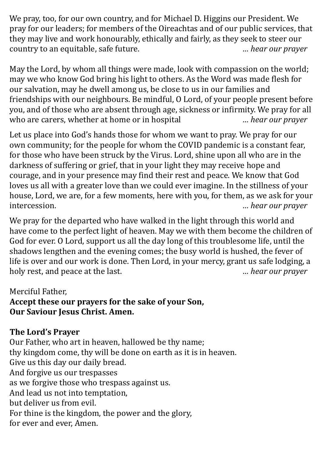We pray, too, for our own country, and for Michael D. Higgins our President. We pray for our leaders; for members of the Oireachtas and of our public services, that they may live and work honourably, ethically and fairly, as they seek to steer our country to an equitable, safe future. *… hear our prayer*

May the Lord, by whom all things were made, look with compassion on the world; may we who know God bring his light to others. As the Word was made flesh for our salvation, may he dwell among us, be close to us in our families and friendships with our neighbours. Be mindful, O Lord, of your people present before you, and of those who are absent through age, sickness or infirmity. We pray for all who are carers, whether at home or in hospital *… hear our prayer*

Let us place into God's hands those for whom we want to pray. We pray for our own community; for the people for whom the COVID pandemic is a constant fear, for those who have been struck by the Virus. Lord, shine upon all who are in the darkness of suffering or grief, that in your light they may receive hope and courage, and in your presence may find their rest and peace. We know that God loves us all with a greater love than we could ever imagine. In the stillness of your house, Lord, we are, for a few moments, here with you, for them, as we ask for your intercession. *… hear our prayer*

We pray for the departed who have walked in the light through this world and have come to the perfect light of heaven. May we with them become the children of God for ever. O Lord, support us all the day long of this troublesome life, until the shadows lengthen and the evening comes; the busy world is hushed, the fever of life is over and our work is done. Then Lord, in your mercy, grant us safe lodging, a holy rest, and peace at the last. *… hear our prayer*

## Merciful Father,

**Accept these our prayers for the sake of your Son, Our Saviour Jesus Christ. Amen.**

### **The Lord's Prayer**

Our Father, who art in heaven, hallowed be thy name; thy kingdom come, thy will be done on earth as it is in heaven. Give us this day our daily bread. And forgive us our trespasses as we forgive those who trespass against us. And lead us not into temptation, but deliver us from evil. For thine is the kingdom, the power and the glory, for ever and ever, Amen.